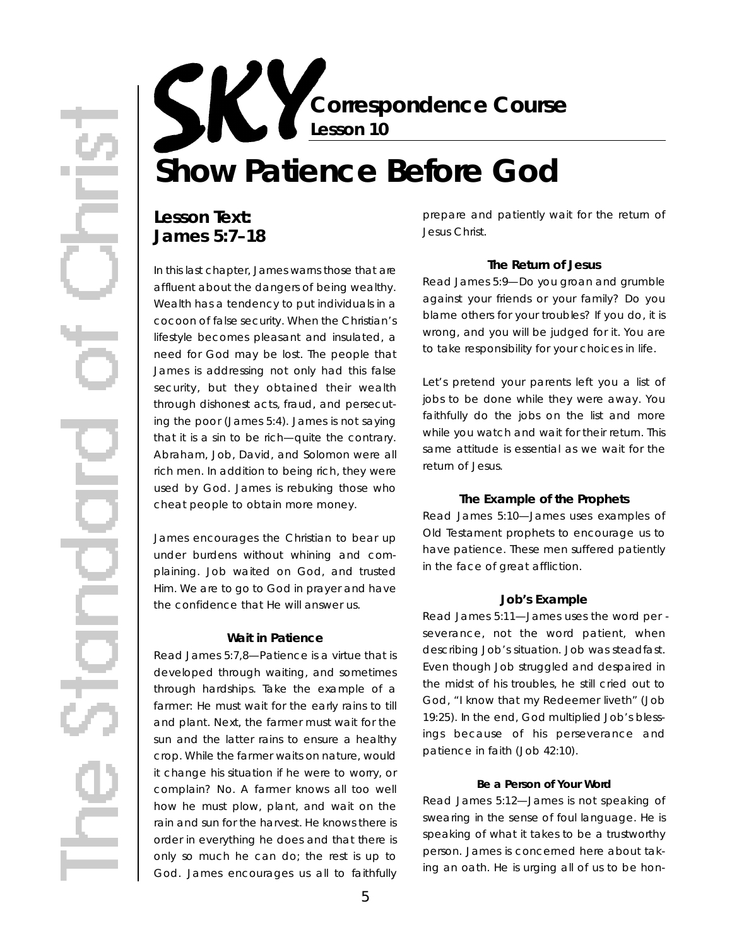**Correspondence Course Lesson 10**

# **Show Patience Before God**

## Lesson Text: **James 5:7–18**

In this last chapter, James warns those that are affluent about the dangers of being wealthy. Wealth has a tendency to put individuals in a cocoon of false security. When the Christian's lifestyle becomes pleasant and insulated, a need for God may be lost. The people that James is addressing not only had this false security, but they obtained their wealth through dishonest acts, fraud, and persecuting the poor (James 5:4). James is not saying that it is a sin to be rich—quite the contrary. Abraham, Job, David, and Solomon were all rich men. In addition to being rich, they were used by God. James is rebuking those who cheat people to obtain more money.

James encourages the Christian to bear up under burdens without whining and complaining. Job waited on God, and trusted Him. We are to go to God in prayer and have the confidence that He will answer us.

#### **Wait in Patience**

*Read James 5:7,8*—Patience is a virtue that is developed through waiting, and sometimes through hardships. Take the example of a farmer: He must wait for the early rains to till and plant. Next, the farmer must wait for the sun and the latter rains to ensure a healthy crop. While the farmer waits on nature, would it change his situation if he were to worry, or complain? No. A farmer knows all too well how he must plow, plant, and wait on the rain and sun for the harvest. He knows there is order in everything he does and that there is only so much he can do; the rest is up to God. James encourages us all to faithfully prepare and patiently wait for the return of Jesus Christ.

#### **The Return of Jesus**

*Read James 5:9*—Do you groan and grumble against your friends or your family? Do you blame others for *your* troubles? If you do, it is wrong, and you will be judged for it. You are to take responsibility for *your choices* in life.

Let's pretend your parents left you a list of jobs to be done while they were away. You faithfully do the jobs on the list and more while you watch and wait for their return. This same attitude is essential as we wait for the return of Jesus.

#### **The Example of the Prophets**

*Read James 5:10*—James uses examples of Old Testament prophets to encourage us to have patience. These men suffered patiently in the face of great affliction.

#### **Job's Example**

*Read James 5:11*—James uses the word *per severance*, not the word *patient*, when describing Job's situation. Job was steadfast. Even though Job struggled and despaired in the midst of his troubles, he still cried out to God, "I know that my Redeemer liveth" (Job 19:25). In the end, God multiplied Job's blessings because of his perseverance and patience in faith (Job 42:10).

#### **Be a Person of Your Word**

*Read James 5:12*—James is not speaking of swearing in the sense of foul language. He is speaking of what it takes to be a trustworthy person. James is concerned here about taking an oath. He is urging all of us to be hon-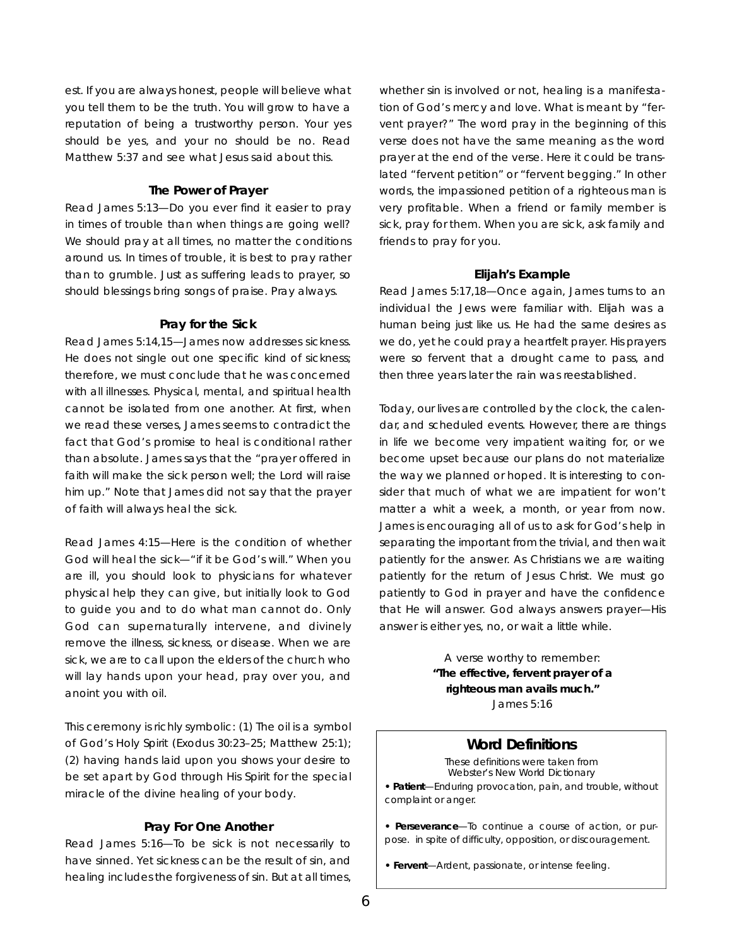est. If you are always honest, people will believe what you tell them to be the truth. You will grow to have a reputation of being a trustworthy person. Your yes should be yes, and your no should be no. Read Matthew 5:37 and see what Jesus said about this.

#### **The Power of Prayer**

*Read James 5:13*—Do you ever find it easier to pray in times of trouble than when things are going well? We should pray at all times, no matter the conditions around us. In times of trouble, it is best to pray rather than to grumble. Just as suffering leads to prayer, so should blessings bring songs of praise. Pray always.

#### **Pray for the Sick**

*Read James 5:14,15*—James now addresses sickness. He does not single out one specific kind of sickness; therefore, we must conclude that he was concerned with all illnesses. Physical, mental, and spiritual health cannot be isolated from one another. At first, when we read these verses, James seems to contradict the fact that God's promise to heal is *conditional* rather than absolute. James says that the "prayer offered in faith will make the sick person well; the Lord will raise him up." Note that James did not say that the prayer of faith will always *hea*/the sick.

*Read James 4:15*—Here is the condition of whether God will heal the sick—"if it be God's will." When you are ill, you should look to physicians for whatever physical help they can give, but initially look to God to guide you and to do what man cannot do. Only God can supernaturally intervene, and divinely remove the illness, sickness, or disease. When we are sick, we are to call upon the elders of the church who will lay hands upon your head, pray over you, and anoint you with oil.

This ceremony is richly symbolic: (1) The oil is a symbol of God's Holy Spirit (Exodus 30:23–25; Matthew 25:1); (2) having hands laid upon you shows your desire to be set apart by God through His Spirit for the special miracle of the divine healing of your body.

#### **Pray For One Another**

*Read James 5:16*— To be sick is not necessarily to have sinned. Yet sickness can be the result of sin, and healing includes the forgiveness of sin. But at all times,

whether sin is involved or not, healing is a manifestation of God's mercy and love. What is meant by "fervent prayer?" The word *pray* in the beginning of this verse does not have the same meaning as the word *prayer* at the end of the verse. Here it could be translated "fervent petition" or "fervent begging." In other words, the impassioned petition of a righteous man is very profitable. When a friend or family member is sick, pray for them. When you are sick, ask family and friends to pray for you.

#### **Elijah's Example**

*Read James 5:17,18*—Once again, James turns to an individual the Jews were familiar with. Elijah was a human being just like us. He had the same desires as we do, yet he could pray a heartfelt prayer. His prayers were so fervent that a drought came to pass, and then three years later the rain was reestablished.

Today, our lives are controlled by the clock, the calendar, and scheduled events. However, there are things in life we become very impatient waiting for, or we become upset because our plans do not materialize the way we planned or hoped. It is interesting to consider that much of what we are impatient for won't matter a whit a week, a month, or year from now. James is encouraging all of us to ask for God's help in separating the important from the trivial, and then wait patiently for the answer. As Christians we are waiting patiently for the return of Jesus Christ. We must go patiently to God in prayer and have the confidence that He will answer. God *always* answers prayer-His answer is either yes, no, or wait a little while.

> A verse worthy to remember: **"The effective, fervent prayer of a righteous man avails much."** James 5:16

#### **Word Definitions**

These definitions were taken from *Webster's New World Dictionary*

**• Patient**—Enduring provocation, pain, and trouble, without complaint or anger.

**• Perseverance**— To continue a course of action, or purpose. in spite of difficulty, opposition, or discouragement.

• Fervent-Ardent, passionate, or intense feeling.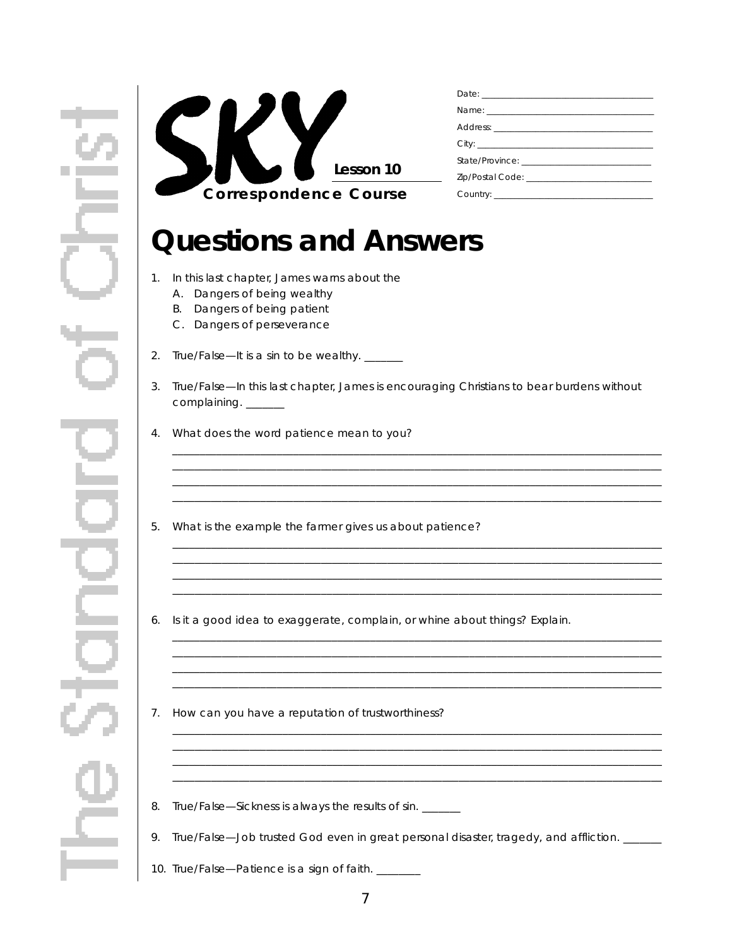

## **Questions and Answers**

- 1. In this last chapter, James warns about the
	- A. Dangers of being wealthy
	- B. Dangers of being patient
	- C. Dangers of perseverance
- 2. True/False-It is a sin to be wealthy. \_\_\_\_\_
- 3. True/False—In this last chapter, James is encouraging Christians to bear burdens without complaining. \_\_\_\_\_\_

<u> 1999 - Johann Stoff, deutscher Stoff, der Stoff, der Stoff, der Stoff, der Stoff, der Stoff, der Stoff, der S</u>

- 4. What does the word *patience* mean to you?
- 5. What is the example the farmer gives us about patience?
- 6. Is it a good idea to exaggerate, complain, or whine about things? Explain.
- 7. How can you have a reputation of trustworthiness?
- 8. True/False-Sickness is always the results of sin. \_\_\_\_\_
- 9. True/False-Job trusted God even in great personal disaster, tragedy, and affliction. \_\_\_\_\_
- 10. True/False-Patience is a sign of faith. \_\_\_\_\_\_\_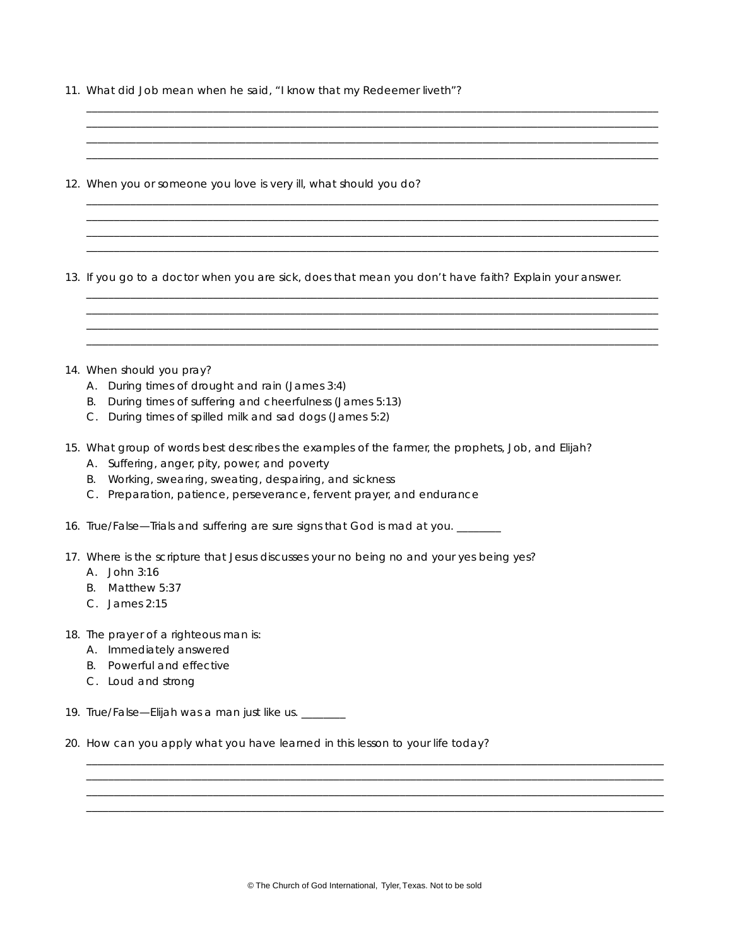11. What did Job mean when he said, "I know that my Redeemer liveth"?

| 12. When you or someone you love is very ill, what should you do?                                                                                                                                                                                                                       |
|-----------------------------------------------------------------------------------------------------------------------------------------------------------------------------------------------------------------------------------------------------------------------------------------|
| 13. If you go to a doctor when you are sick, does that mean you don't have faith? Explain your answer.                                                                                                                                                                                  |
| 14. When should you pray?<br>A. During times of drought and rain (James 3:4)                                                                                                                                                                                                            |
| B. During times of suffering and cheerfulness (James 5:13)<br>C. During times of spilled milk and sad dogs (James 5:2)                                                                                                                                                                  |
| 15. What group of words best describes the examples of the farmer, the prophets, Job, and Elijah?<br>A. Suffering, anger, pity, power, and poverty<br>B. Working, swearing, sweating, despairing, and sickness<br>C. Preparation, patience, perseverance, fervent prayer, and endurance |
| 16. True/False—Trials and suffering are sure signs that God is mad at you. ______                                                                                                                                                                                                       |
| 17. Where is the scripture that Jesus discusses your no being no and your yes being yes?<br>A. John 3:16<br>B. Matthew 5:37<br>C. James 2:15                                                                                                                                            |
| 18. The prayer of a righteous man is:<br>A. Immediately answered<br>Powerful and effective<br>В.<br>C. Loud and strong                                                                                                                                                                  |
| 19. True/False-Elijah was a man just like us. _______                                                                                                                                                                                                                                   |
| 20. How can you apply what you have learned in this lesson to your life today?                                                                                                                                                                                                          |
|                                                                                                                                                                                                                                                                                         |
|                                                                                                                                                                                                                                                                                         |

\_ \_ \_ \_ \_ \_ \_ \_ \_ \_ \_ \_ \_ \_ \_ \_ \_ \_ \_ \_ \_ \_ \_ \_ \_ \_ \_ \_ \_ \_ \_ \_ \_ \_ \_ \_ \_ \_ \_ \_ \_ \_ \_ \_ \_ \_ \_ \_ \_ \_ \_ \_ \_ \_ \_ \_ \_ \_ \_ \_ \_ \_ \_ \_ \_ \_ \_ \_ \_ \_ \_ \_ \_ \_ \_ \_ \_ \_ \_ \_ \_ \_ \_ \_ \_ \_ \_ \_ \_ \_ \_ \_ \_ \_ \_ \_ \_ \_ \_ \_ \_ \_ \_ \_